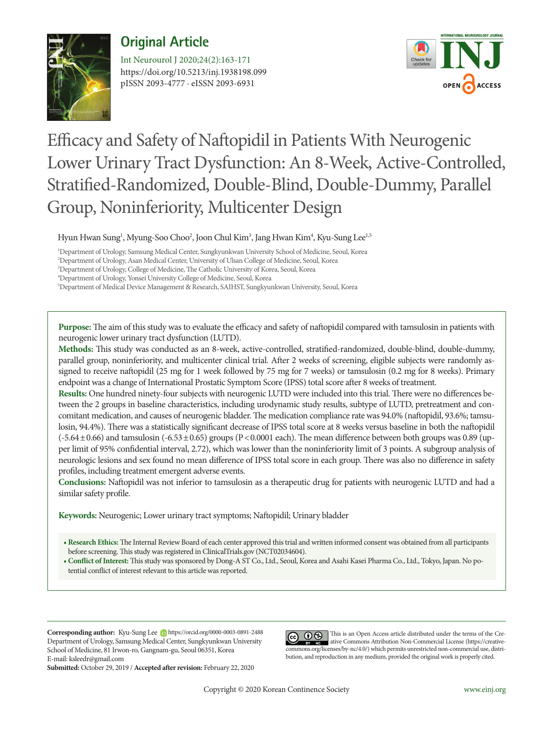

# **Original Article**

https://doi.org/10.5213/inj.1938198.099 pISSN 2093-4777 · eISSN 2093-6931 Int Neurourol J 2020;24(2):163-171



# Efficacy and Safety of Naftopidil in Patients With Neurogenic Lower Urinary Tract Dysfunction: An 8-Week, Active-Controlled, Stratified-Randomized, Double-Blind, Double-Dummy, Parallel Group, Noninferiority, Multicenter Design

Hyun Hwan Sung<sup>1</sup>, Myung-Soo Choo<sup>2</sup>, Joon Chul Kim<sup>3</sup>, Jang Hwan Kim<sup>4</sup>, Kyu-Sung Lee<sup>1,5</sup>

1 Department of Urology, Samsung Medical Center, Sungkyunkwan University School of Medicine, Seoul, Korea

2 Department of Urology, Asan Medical Center, University of Ulsan College of Medicine, Seoul, Korea

3 Department of Urology, College of Medicine, The Catholic University of Korea, Seoul, Korea

4 Department of Urology, Yonsei University College of Medicine, Seoul, Korea

5 Department of Medical Device Management & Research, SAIHST, Sungkyunkwan University, Seoul, Korea

**Purpose:** The aim of this study was to evaluate the efficacy and safety of naftopidil compared with tamsulosin in patients with neurogenic lower urinary tract dysfunction (LUTD).

**Methods:** This study was conducted as an 8-week, active-controlled, stratified-randomized, double-blind, double-dummy, parallel group, noninferiority, and multicenter clinical trial. After 2 weeks of screening, eligible subjects were randomly assigned to receive naftopidil (25 mg for 1 week followed by 75 mg for 7 weeks) or tamsulosin (0.2 mg for 8 weeks). Primary endpoint was a change of International Prostatic Symptom Score (IPSS) total score after 8 weeks of treatment.

**Results:** One hundred ninety-four subjects with neurogenic LUTD were included into this trial. There were no differences between the 2 groups in baseline characteristics, including urodynamic study results, subtype of LUTD, pretreatment and concomitant medication, and causes of neurogenic bladder. The medication compliance rate was 94.0% (naftopidil, 93.6%; tamsulosin, 94.4%). There was a statistically significant decrease of IPSS total score at 8 weeks versus baseline in both the naftopidil  $(-5.64\pm0.66)$  and tamsulosin  $(-6.53\pm0.65)$  groups  $(P<0.0001$  each). The mean difference between both groups was 0.89 (upper limit of 95% confidential interval, 2.72), which was lower than the noninferiority limit of 3 points. A subgroup analysis of neurologic lesions and sex found no mean difference of IPSS total score in each group. There was also no difference in safety profiles, including treatment emergent adverse events.

**Conclusions:** Naftopidil was not inferior to tamsulosin as a therapeutic drug for patients with neurogenic LUTD and had a similar safety profile.

**Keywords:** Neurogenic; Lower urinary tract symptoms; Naftopidil; Urinary bladder

**• Research Ethics:** The Internal Review Board of each center approved this trial and written informed consent was obtained from all participants before screening. This study was registered in ClinicalTrials.gov (NCT02034604).

**• Conflict of Interest:** This study was sponsored by Dong-A ST Co., Ltd., Seoul, Korea and Asahi Kasei Pharma Co., Ltd., Tokyo, Japan. No potential conflict of interest relevant to this article was reported.

**Corresponding author:** Kyu-Sung Lee https://orcid.org/0000-0003-0891-2488 Department of Urology, Samsung Medical Center, Sungkyunkwan University School of Medicine, 81 Irwon-ro, Gangnam-gu, Seoul 06351, Korea E-mail: ksleedr@gmail.com

**Submitted:** October 29, 2019 / **Accepted after revision:** February 22, 2020

This is an Open Access article distributed under the terms of the Creative Commons Attribution Non-Commercial License (https://creativecommons.org/licenses/by-nc/4.0/) which permits unrestricted non-commercial use, distribution, and reproduction in any medium, provided the original work is properly cited.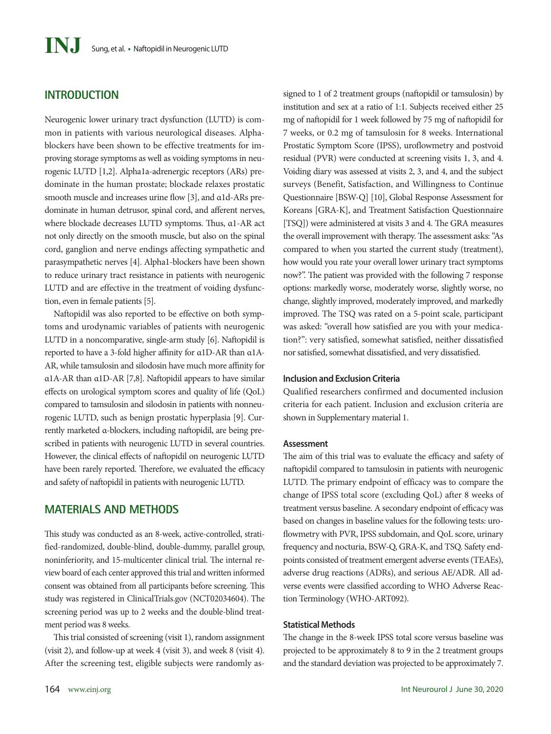### **INTRODUCTION**

Neurogenic lower urinary tract dysfunction (LUTD) is common in patients with various neurological diseases. Alphablockers have been shown to be effective treatments for improving storage symptoms as well as voiding symptoms in neurogenic LUTD [1,2]. Alpha1a-adrenergic receptors (ARs) predominate in the human prostate; blockade relaxes prostatic smooth muscle and increases urine flow [3], and α1d-ARs predominate in human detrusor, spinal cord, and afferent nerves, where blockade decreases LUTD symptoms. Thus, α1-AR act not only directly on the smooth muscle, but also on the spinal cord, ganglion and nerve endings affecting sympathetic and parasympathetic nerves [4]. Alpha1-blockers have been shown to reduce urinary tract resistance in patients with neurogenic LUTD and are effective in the treatment of voiding dysfunction, even in female patients [5].

Naftopidil was also reported to be effective on both symptoms and urodynamic variables of patients with neurogenic LUTD in a noncomparative, single-arm study [6]. Naftopidil is reported to have a 3-fold higher affinity for α1D-AR than α1A-AR, while tamsulosin and silodosin have much more affinity for α1A-AR than α1D-AR [7,8]. Naftopidil appears to have similar effects on urological symptom scores and quality of life (QoL) compared to tamsulosin and silodosin in patients with nonneurogenic LUTD, such as benign prostatic hyperplasia [9]. Currently marketed α-blockers, including naftopidil, are being prescribed in patients with neurogenic LUTD in several countries. However, the clinical effects of naftopidil on neurogenic LUTD have been rarely reported. Therefore, we evaluated the efficacy and safety of naftopidil in patients with neurogenic LUTD.

## **MATERIALS AND METHODS**

This study was conducted as an 8-week, active-controlled, stratified-randomized, double-blind, double-dummy, parallel group, noninferiority, and 15-multicenter clinical trial. The internal review board of each center approved this trial and written informed consent was obtained from all participants before screening. This study was registered in ClinicalTrials.gov (NCT02034604). The screening period was up to 2 weeks and the double-blind treatment period was 8 weeks.

This trial consisted of screening (visit 1), random assignment (visit 2), and follow-up at week 4 (visit 3), and week 8 (visit 4). After the screening test, eligible subjects were randomly as-

signed to 1 of 2 treatment groups (naftopidil or tamsulosin) by institution and sex at a ratio of 1:1. Subjects received either 25 mg of naftopidil for 1 week followed by 75 mg of naftopidil for 7 weeks, or 0.2 mg of tamsulosin for 8 weeks. International Prostatic Symptom Score (IPSS), uroflowmetry and postvoid residual (PVR) were conducted at screening visits 1, 3, and 4. Voiding diary was assessed at visits 2, 3, and 4, and the subject surveys (Benefit, Satisfaction, and Willingness to Continue Questionnaire [BSW-Q] [10], Global Response Assessment for Koreans [GRA-K], and Treatment Satisfaction Questionnaire [TSQ]) were administered at visits 3 and 4. The GRA measures the overall improvement with therapy. The assessment asks: "As compared to when you started the current study (treatment), how would you rate your overall lower urinary tract symptoms now?". The patient was provided with the following 7 response options: markedly worse, moderately worse, slightly worse, no change, slightly improved, moderately improved, and markedly improved. The TSQ was rated on a 5-point scale, participant was asked: "overall how satisfied are you with your medication?": very satisfied, somewhat satisfied, neither dissatisfied nor satisfied, somewhat dissatisfied, and very dissatisfied.

#### **Inclusion and Exclusion Criteria**

Qualified researchers confirmed and documented inclusion criteria for each patient. Inclusion and exclusion criteria are shown in Supplementary material 1.

#### **Assessment**

The aim of this trial was to evaluate the efficacy and safety of naftopidil compared to tamsulosin in patients with neurogenic LUTD. The primary endpoint of efficacy was to compare the change of IPSS total score (excluding QoL) after 8 weeks of treatment versus baseline. A secondary endpoint of efficacy was based on changes in baseline values for the following tests: uroflowmetry with PVR, IPSS subdomain, and QoL score, urinary frequency and nocturia, BSW-Q, GRA-K, and TSQ. Safety endpoints consisted of treatment emergent adverse events (TEAEs), adverse drug reactions (ADRs), and serious AE/ADR. All adverse events were classified according to WHO Adverse Reaction Terminology (WHO-ART092).

#### **Statistical Methods**

The change in the 8-week IPSS total score versus baseline was projected to be approximately 8 to 9 in the 2 treatment groups and the standard deviation was projected to be approximately 7.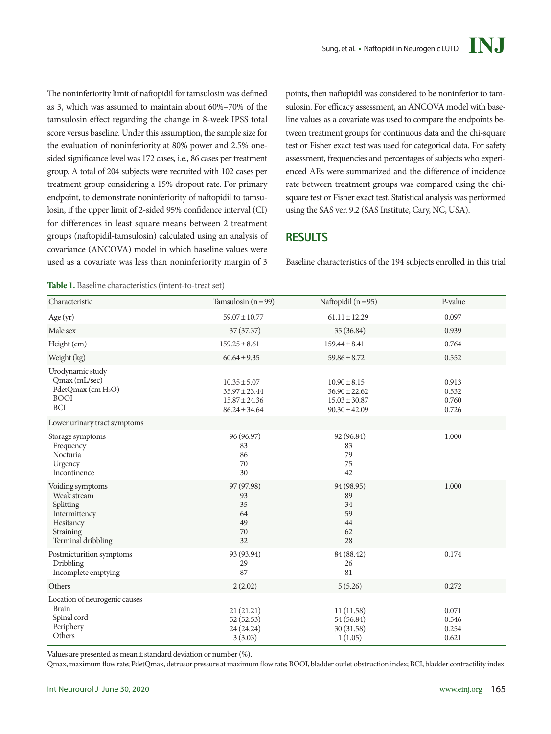The noninferiority limit of naftopidil for tamsulosin was defined as 3, which was assumed to maintain about 60%–70% of the tamsulosin effect regarding the change in 8-week IPSS total score versus baseline. Under this assumption, the sample size for the evaluation of noninferiority at 80% power and 2.5% onesided significance level was 172 cases, i.e., 86 cases per treatment group. A total of 204 subjects were recruited with 102 cases per treatment group considering a 15% dropout rate. For primary endpoint, to demonstrate noninferiority of naftopidil to tamsulosin, if the upper limit of 2-sided 95% confidence interval (CI) for differences in least square means between 2 treatment groups (naftopidil-tamsulosin) calculated using an analysis of covariance (ANCOVA) model in which baseline values were used as a covariate was less than noninferiority margin of 3

points, then naftopidil was considered to be noninferior to tamsulosin. For efficacy assessment, an ANCOVA model with baseline values as a covariate was used to compare the endpoints between treatment groups for continuous data and the chi-square test or Fisher exact test was used for categorical data. For safety assessment, frequencies and percentages of subjects who experienced AEs were summarized and the difference of incidence rate between treatment groups was compared using the chisquare test or Fisher exact test. Statistical analysis was performed using the SAS ver. 9.2 (SAS Institute, Cary, NC, USA).

#### **RESULTS**

Baseline characteristics of the 194 subjects enrolled in this trial

**Table 1.** Baseline characteristics (intent-to-treat set)

| Characteristic                                                                                                | Tamsulosin $(n=99)$                                                             | Naftopidil $(n=95)$                                                             | P-value                          |
|---------------------------------------------------------------------------------------------------------------|---------------------------------------------------------------------------------|---------------------------------------------------------------------------------|----------------------------------|
| Age (yr)                                                                                                      | $59.07 \pm 10.77$                                                               | $61.11 \pm 12.29$                                                               | 0.097                            |
| Male sex                                                                                                      | 37(37.37)                                                                       | 35 (36.84)                                                                      | 0.939                            |
| Height (cm)                                                                                                   | $159.25 \pm 8.61$                                                               | $159.44 \pm 8.41$                                                               | 0.764                            |
| Weight (kg)                                                                                                   | $60.64 \pm 9.35$                                                                | $59.86 \pm 8.72$                                                                | 0.552                            |
| Urodynamic study<br>Qmax (mL/sec)<br>PdetQmax (cm H <sub>2</sub> O)<br><b>BOOI</b><br><b>BCI</b>              | $10.35 \pm 5.07$<br>$35.97 \pm 23.44$<br>$15.87 \pm 24.36$<br>$86.24 \pm 34.64$ | $10.90 \pm 8.15$<br>$36.90 \pm 22.62$<br>$15.03 \pm 30.87$<br>$90.30 \pm 42.09$ | 0.913<br>0.532<br>0.760<br>0.726 |
| Lower urinary tract symptoms                                                                                  |                                                                                 |                                                                                 |                                  |
| Storage symptoms<br>Frequency<br>Nocturia<br>Urgency<br>Incontinence                                          | 96 (96.97)<br>83<br>86<br>70<br>30                                              | 92 (96.84)<br>83<br>79<br>75<br>42                                              | 1.000                            |
| Voiding symptoms<br>Weak stream<br>Splitting<br>Intermittency<br>Hesitancy<br>Straining<br>Terminal dribbling | 97 (97.98)<br>93<br>35<br>64<br>49<br>70<br>32                                  | 94 (98.95)<br>89<br>34<br>59<br>44<br>62<br>28                                  | 1.000                            |
| Postmicturition symptoms<br>Dribbling<br>Incomplete emptying                                                  | 93 (93.94)<br>29<br>87                                                          | 84 (88.42)<br>26<br>81                                                          | 0.174                            |
| Others                                                                                                        | 2(2.02)                                                                         | 5(5.26)                                                                         | 0.272                            |
| Location of neurogenic causes<br><b>Brain</b><br>Spinal cord<br>Periphery<br>Others                           | 21(21.21)<br>52(52.53)<br>24 (24.24)<br>3(3.03)                                 | 11(11.58)<br>54 (56.84)<br>30(31.58)<br>1(1.05)                                 | 0.071<br>0.546<br>0.254<br>0.621 |

Values are presented as mean  $\pm$  standard deviation or number (%).

Qmax, maximum flow rate; PdetQmax, detrusor pressure at maximum flow rate; BOOI, bladder outlet obstruction index; BCI, bladder contractility index.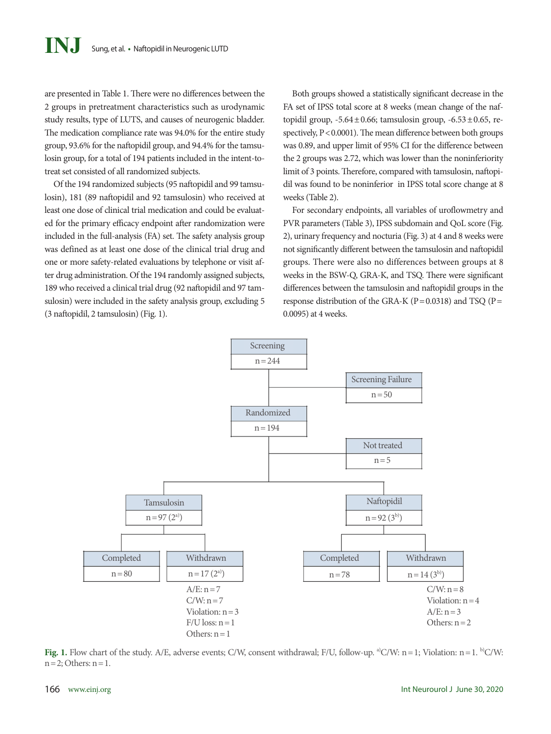are presented in Table 1. There were no differences between the 2 groups in pretreatment characteristics such as urodynamic study results, type of LUTS, and causes of neurogenic bladder. The medication compliance rate was 94.0% for the entire study group, 93.6% for the naftopidil group, and 94.4% for the tamsulosin group, for a total of 194 patients included in the intent-totreat set consisted of all randomized subjects.

Of the 194 randomized subjects (95 naftopidil and 99 tamsulosin), 181 (89 naftopidil and 92 tamsulosin) who received at least one dose of clinical trial medication and could be evaluated for the primary efficacy endpoint after randomization were included in the full-analysis (FA) set. The safety analysis group was defined as at least one dose of the clinical trial drug and one or more safety-related evaluations by telephone or visit after drug administration. Of the 194 randomly assigned subjects, 189 who received a clinical trial drug (92 naftopidil and 97 tamsulosin) were included in the safety analysis group, excluding 5 (3 naftopidil, 2 tamsulosin) (Fig. 1).

Both groups showed a statistically significant decrease in the FA set of IPSS total score at 8 weeks (mean change of the naftopidil group,  $-5.64 \pm 0.66$ ; tamsulosin group,  $-6.53 \pm 0.65$ , respectively,  $P < 0.0001$ ). The mean difference between both groups was 0.89, and upper limit of 95% CI for the difference between the 2 groups was 2.72, which was lower than the noninferiority limit of 3 points. Therefore, compared with tamsulosin, naftopidil was found to be noninferior in IPSS total score change at 8 weeks (Table 2).

For secondary endpoints, all variables of uroflowmetry and PVR parameters (Table 3), IPSS subdomain and QoL score (Fig. 2), urinary frequency and nocturia (Fig. 3) at 4 and 8 weeks were not significantly different between the tamsulosin and naftopidil groups. There were also no differences between groups at 8 weeks in the BSW-Q, GRA-K, and TSQ. There were significant differences between the tamsulosin and naftopidil groups in the response distribution of the GRA-K ( $P = 0.0318$ ) and TSQ ( $P =$ 0.0095) at 4 weeks.



Fig. 1. Flow chart of the study. A/E, adverse events; C/W, consent withdrawal; F/U, follow-up. <sup>a)</sup>C/W: n = 1; Violation: n = 1. <sup>b)</sup>C/W:  $n=2$ ; Others:  $n=1$ .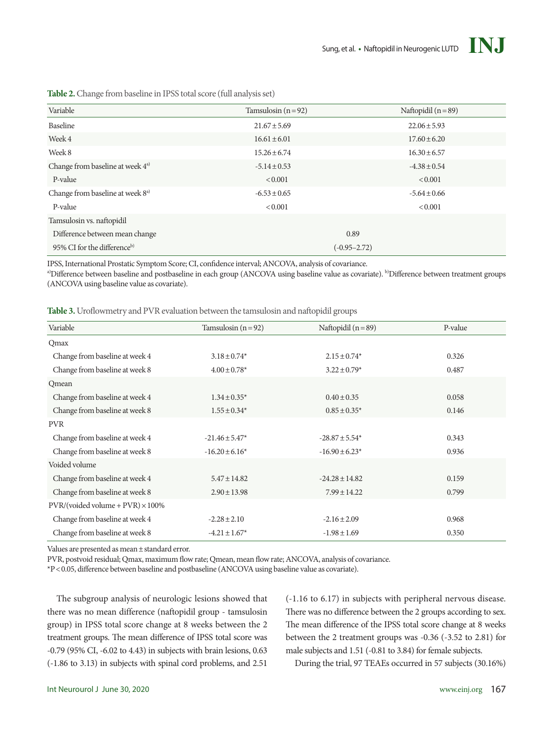

| Variable                                     | Tamsulosin $(n=92)$ | Naftopidil $(n=89)$ |  |  |  |  |
|----------------------------------------------|---------------------|---------------------|--|--|--|--|
| Baseline                                     | $21.67 \pm 5.69$    | $22.06 \pm 5.93$    |  |  |  |  |
| Week 4                                       | $16.61 \pm 6.01$    | $17.60 \pm 6.20$    |  |  |  |  |
| Week 8                                       | $15.26 \pm 6.74$    | $16.30 \pm 6.57$    |  |  |  |  |
| Change from baseline at week 4 <sup>a)</sup> | $-5.14 \pm 0.53$    | $-4.38 \pm 0.54$    |  |  |  |  |
| P-value                                      | ${}_{0.001}$        | < 0.001             |  |  |  |  |
| Change from baseline at week 8 <sup>a)</sup> | $-6.53 \pm 0.65$    | $-5.64 \pm 0.66$    |  |  |  |  |
| P-value                                      | ${}_{0.001}$        | < 0.001             |  |  |  |  |
| Tamsulosin vs. naftopidil                    |                     |                     |  |  |  |  |
| Difference between mean change               | 0.89                |                     |  |  |  |  |
| 95% CI for the difference <sup>b)</sup>      | $(-0.95 - 2.72)$    |                     |  |  |  |  |

**Table 2.** Change from baseline in IPSS total score (full analysis set)

IPSS, International Prostatic Symptom Score; CI, confidence interval; ANCOVA, analysis of covariance.

a)Difference between baseline and postbaseline in each group (ANCOVA using baseline value as covariate). <sup>b)</sup>Difference between treatment groups (ANCOVA using baseline value as covariate).

**Table 3.** Uroflowmetry and PVR evaluation between the tamsulosin and naftopidil groups

| Variable                                | Tamsulosin $(n=92)$ | Naftopidil $(n=89)$ | P-value |
|-----------------------------------------|---------------------|---------------------|---------|
| Qmax                                    |                     |                     |         |
| Change from baseline at week 4          | $3.18 \pm 0.74*$    | $2.15 \pm 0.74*$    | 0.326   |
| Change from baseline at week 8          | $4.00 \pm 0.78$ *   | $3.22 \pm 0.79$ *   | 0.487   |
| Qmean                                   |                     |                     |         |
| Change from baseline at week 4          | $1.34 \pm 0.35^*$   | $0.40 \pm 0.35$     | 0.058   |
| Change from baseline at week 8          | $1.55 \pm 0.34*$    | $0.85 \pm 0.35^*$   | 0.146   |
| <b>PVR</b>                              |                     |                     |         |
| Change from baseline at week 4          | $-21.46 \pm 5.47*$  | $-28.87 \pm 5.54$ * | 0.343   |
| Change from baseline at week 8          | $-16.20 \pm 6.16*$  | $-16.90 \pm 6.23*$  | 0.936   |
| Voided volume                           |                     |                     |         |
| Change from baseline at week 4          | $5.47 \pm 14.82$    | $-24.28 \pm 14.82$  | 0.159   |
| Change from baseline at week 8          | $2.90 \pm 13.98$    | $7.99 \pm 14.22$    | 0.799   |
| $PVR/(voded volume + PVR) \times 100\%$ |                     |                     |         |
| Change from baseline at week 4          | $-2.28 \pm 2.10$    | $-2.16 \pm 2.09$    | 0.968   |
| Change from baseline at week 8          | $-4.21 \pm 1.67$ *  | $-1.98 \pm 1.69$    | 0.350   |

Values are presented as mean±standard error.

PVR, postvoid residual; Qmax, maximum flow rate; Qmean, mean flow rate; ANCOVA, analysis of covariance.

\*P<0.05, difference between baseline and postbaseline (ANCOVA using baseline value as covariate).

The subgroup analysis of neurologic lesions showed that there was no mean difference (naftopidil group - tamsulosin group) in IPSS total score change at 8 weeks between the 2 treatment groups. The mean difference of IPSS total score was -0.79 (95% CI, -6.02 to 4.43) in subjects with brain lesions, 0.63 (-1.86 to 3.13) in subjects with spinal cord problems, and 2.51

(-1.16 to 6.17) in subjects with peripheral nervous disease. There was no difference between the 2 groups according to sex. The mean difference of the IPSS total score change at 8 weeks between the 2 treatment groups was -0.36 (-3.52 to 2.81) for male subjects and 1.51 (-0.81 to 3.84) for female subjects.

During the trial, 97 TEAEs occurred in 57 subjects (30.16%)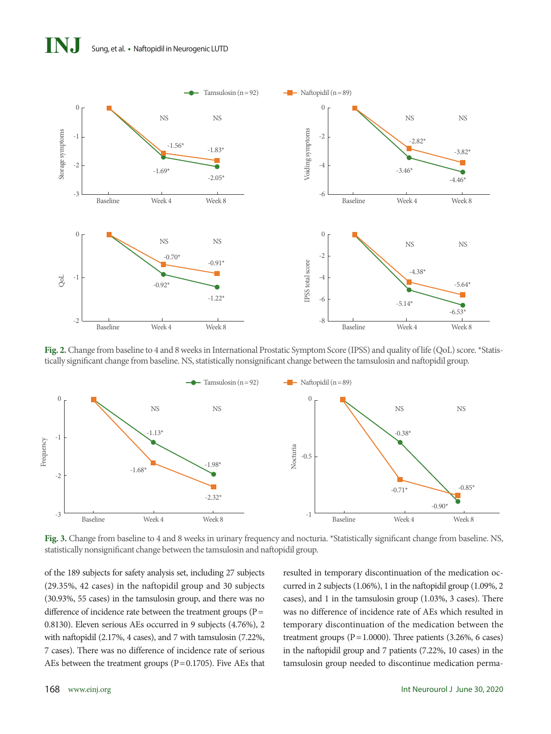# **INJ** Sung, et al. **•** Naftopidil in Neurogenic LUTD



**Fig. 2.** Change from baseline to 4 and 8 weeks in International Prostatic Symptom Score (IPSS) and quality of life (QoL) score. \*Statistically significant change from baseline. NS, statistically nonsignificant change between the tamsulosin and naftopidil group.



**Fig. 3.** Change from baseline to 4 and 8 weeks in urinary frequency and nocturia. \*Statistically significant change from baseline. NS, statistically nonsignificant change between the tamsulosin and naftopidil group.

of the 189 subjects for safety analysis set, including 27 subjects (29.35%, 42 cases) in the naftopidil group and 30 subjects (30.93%, 55 cases) in the tamsulosin group, and there was no difference of incidence rate between the treatment groups  $(P=$ 0.8130). Eleven serious AEs occurred in 9 subjects (4.76%), 2 with naftopidil (2.17%, 4 cases), and 7 with tamsulosin (7.22%, 7 cases). There was no difference of incidence rate of serious AEs between the treatment groups ( $P = 0.1705$ ). Five AEs that resulted in temporary discontinuation of the medication occurred in 2 subjects (1.06%), 1 in the naftopidil group (1.09%, 2 cases), and 1 in the tamsulosin group (1.03%, 3 cases). There was no difference of incidence rate of AEs which resulted in temporary discontinuation of the medication between the treatment groups ( $P = 1.0000$ ). Three patients (3.26%, 6 cases) in the naftopidil group and 7 patients (7.22%, 10 cases) in the tamsulosin group needed to discontinue medication perma-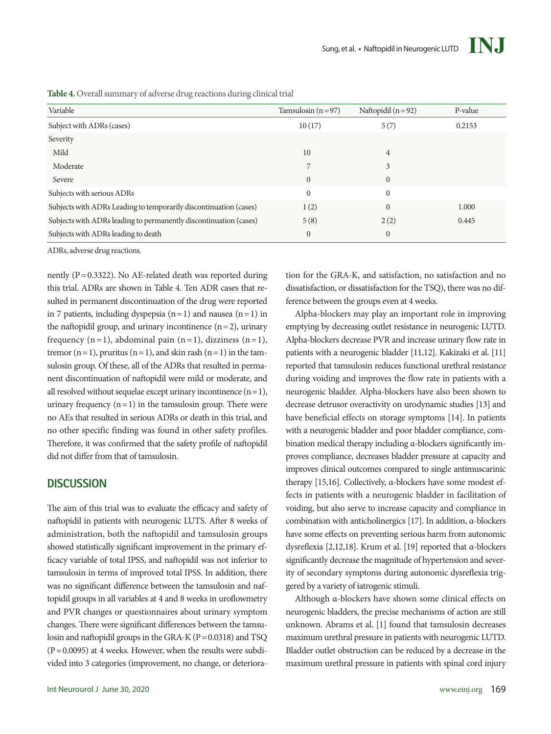

**Table 4.** Overall summary of adverse drug reactions during clinical trial

| Variable                                                          | Tamsulosin $(n=97)$ | Naftopidil $(n=92)$ | P-value |
|-------------------------------------------------------------------|---------------------|---------------------|---------|
| Subject with ADRs (cases)                                         | 10(17)              | 5(7)                | 0.2153  |
| Severity                                                          |                     |                     |         |
| Mild                                                              | 10                  | 4                   |         |
| Moderate                                                          | 7                   | 3                   |         |
| Severe                                                            | $\mathbf{0}$        | $\theta$            |         |
| Subjects with serious ADRs                                        | $\mathbf{0}$        | $\Omega$            |         |
| Subjects with ADRs Leading to temporarily discontinuation (cases) | 1(2)                | $\theta$            | 1.000   |
| Subjects with ADRs leading to permanently discontinuation (cases) | 5(8)                | 2(2)                | 0.445   |
| Subjects with ADRs leading to death                               | $\mathbf{0}$        | $\mathbf{0}$        |         |

ADRs, adverse drug reactions.

nently ( $P = 0.3322$ ). No AE-related death was reported during this trial. ADRs are shown in Table 4. Ten ADR cases that resulted in permanent discontinuation of the drug were reported in 7 patients, including dyspepsia  $(n=1)$  and nausea  $(n=1)$  in the naftopidil group, and urinary incontinence  $(n=2)$ , urinary frequency  $(n=1)$ , abdominal pain  $(n=1)$ , dizziness  $(n=1)$ , tremor  $(n=1)$ , pruritus  $(n=1)$ , and skin rash  $(n=1)$  in the tamsulosin group. Of these, all of the ADRs that resulted in permanent discontinuation of naftopidil were mild or moderate, and all resolved without sequelae except urinary incontinence  $(n=1)$ , urinary frequency  $(n=1)$  in the tamsulosin group. There were no AEs that resulted in serious ADRs or death in this trial, and no other specific finding was found in other safety profiles. Therefore, it was confirmed that the safety profile of naftopidil did not differ from that of tamsulosin.

### **DISCUSSION**

The aim of this trial was to evaluate the efficacy and safety of naftopidil in patients with neurogenic LUTS. After 8 weeks of administration, both the naftopidil and tamsulosin groups showed statistically significant improvement in the primary efficacy variable of total IPSS, and naftopidil was not inferior to tamsulosin in terms of improved total IPSS. In addition, there was no significant difference between the tamsulosin and naftopidil groups in all variables at 4 and 8 weeks in uroflowmetry and PVR changes or questionnaires about urinary symptom changes. There were significant differences between the tamsulosin and naftopidil groups in the GRA-K  $(P=0.0318)$  and TSQ  $(P=0.0095)$  at 4 weeks. However, when the results were subdivided into 3 categories (improvement, no change, or deterioration for the GRA-K, and satisfaction, no satisfaction and no dissatisfaction, or dissatisfaction for the TSQ), there was no difference between the groups even at 4 weeks.

Alpha-blockers may play an important role in improving emptying by decreasing outlet resistance in neurogenic LUTD. Alpha-blockers decrease PVR and increase urinary flow rate in patients with a neurogenic bladder [11,12]. Kakizaki et al. [11] reported that tamsulosin reduces functional urethral resistance during voiding and improves the flow rate in patients with a neurogenic bladder. Alpha-blockers have also been shown to decrease detrusor overactivity on urodynamic studies [13] and have beneficial effects on storage symptoms [14]. In patients with a neurogenic bladder and poor bladder compliance, combination medical therapy including α-blockers significantly improves compliance, decreases bladder pressure at capacity and improves clinical outcomes compared to single antimuscarinic therapy [15,16]. Collectively, α-blockers have some modest effects in patients with a neurogenic bladder in facilitation of voiding, but also serve to increase capacity and compliance in combination with anticholinergics [17]. In addition, α-blockers have some effects on preventing serious harm from autonomic dysreflexia [2,12,18]. Krum et al. [19] reported that α-blockers significantly decrease the magnitude of hypertension and severity of secondary symptoms during autonomic dysreflexia triggered by a variety of iatrogenic stimuli.

Although α-blockers have shown some clinical effects on neurogenic bladders, the precise mechanisms of action are still unknown. Abrams et al. [1] found that tamsulosin decreases maximum urethral pressure in patients with neurogenic LUTD. Bladder outlet obstruction can be reduced by a decrease in the maximum urethral pressure in patients with spinal cord injury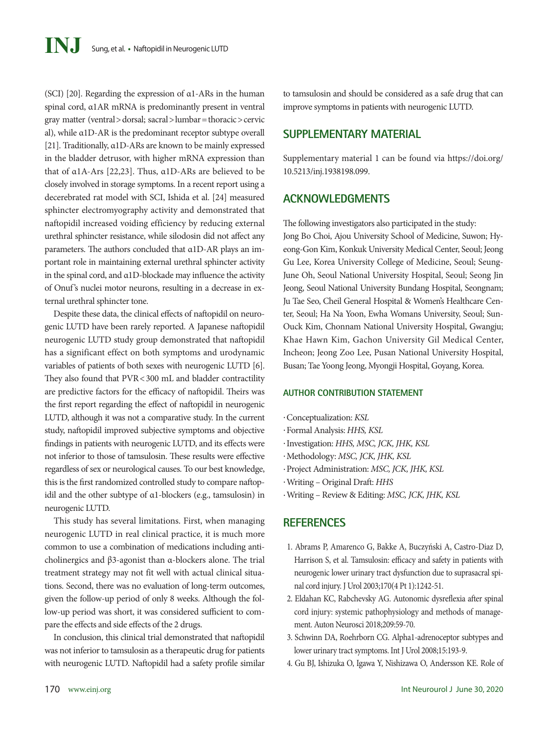(SCI) [20]. Regarding the expression of α1-ARs in the human spinal cord, α1AR mRNA is predominantly present in ventral gray matter (ventral>dorsal; sacral>lumbar=thoracic>cervic al), while α1D-AR is the predominant receptor subtype overall [21]. Traditionally, α1D-ARs are known to be mainly expressed in the bladder detrusor, with higher mRNA expression than that of α1A-Ars [22,23]. Thus, α1D-ARs are believed to be closely involved in storage symptoms. In a recent report using a decerebrated rat model with SCI, Ishida et al. [24] measured sphincter electromyography activity and demonstrated that naftopidil increased voiding efficiency by reducing external urethral sphincter resistance, while silodosin did not affect any parameters. The authors concluded that α1D-AR plays an important role in maintaining external urethral sphincter activity in the spinal cord, and α1D-blockade may influence the activity of Onuf's nuclei motor neurons, resulting in a decrease in external urethral sphincter tone.

Despite these data, the clinical effects of naftopidil on neurogenic LUTD have been rarely reported. A Japanese naftopidil neurogenic LUTD study group demonstrated that naftopidil has a significant effect on both symptoms and urodynamic variables of patients of both sexes with neurogenic LUTD [6]. They also found that PVR<300 mL and bladder contractility are predictive factors for the efficacy of naftopidil. Theirs was the first report regarding the effect of naftopidil in neurogenic LUTD, although it was not a comparative study. In the current study, naftopidil improved subjective symptoms and objective findings in patients with neurogenic LUTD, and its effects were not inferior to those of tamsulosin. These results were effective regardless of sex or neurological causes. To our best knowledge, this is the first randomized controlled study to compare naftopidil and the other subtype of α1-blockers (e.g., tamsulosin) in neurogenic LUTD.

This study has several limitations. First, when managing neurogenic LUTD in real clinical practice, it is much more common to use a combination of medications including anticholinergics and β3-agonist than α-blockers alone. The trial treatment strategy may not fit well with actual clinical situations. Second, there was no evaluation of long-term outcomes, given the follow-up period of only 8 weeks. Although the follow-up period was short, it was considered sufficient to compare the effects and side effects of the 2 drugs.

In conclusion, this clinical trial demonstrated that naftopidil was not inferior to tamsulosin as a therapeutic drug for patients with neurogenic LUTD. Naftopidil had a safety profile similar

#### **SUPPLEMENTARY MATERIAL**

[Supplementary material 1 can be found via https://doi.org/](https://doi.org/10.5213/inj.1938198.099) [10.5213/inj.1938198.099.](https://doi.org/10.5213/inj.1938198.099)

### **ACKNOWLEDGMENTS**

The following investigators also participated in the study:

Jong Bo Choi, Ajou University School of Medicine, Suwon; Hyeong-Gon Kim, Konkuk University Medical Center, Seoul; Jeong Gu Lee, Korea University College of Medicine, Seoul; Seung-June Oh, Seoul National University Hospital, Seoul; Seong Jin Jeong, Seoul National University Bundang Hospital, Seongnam; Ju Tae Seo, Cheil General Hospital & Women's Healthcare Center, Seoul; Ha Na Yoon, Ewha Womans University, Seoul; Sun-Ouck Kim, Chonnam National University Hospital, Gwangju; Khae Hawn Kim, Gachon University Gil Medical Center, Incheon; Jeong Zoo Lee, Pusan National University Hospital, Busan; Tae Yoong Jeong, Myongji Hospital, Goyang, Korea.

#### **AUTHOR CONTRIBUTION STATEMENT**

- ·Conceptualization: *KSL*
- ·Formal Analysis: *HHS, KSL*
- ·Investigation: *HHS, MSC, JCK, JHK, KSL*
- ·Methodology: *MSC, JCK, JHK, KSL*
- ·Project Administration: *MSC, JCK, JHK, KSL*
- ·Writing Original Draft: *HHS*
- ·Writing Review & Editing: *MSC, JCK, JHK, KSL*

#### **REFERENCES**

- 1. Abrams P, Amarenco G, Bakke A, Buczyński A, Castro-Diaz D, Harrison S, et al. Tamsulosin: efficacy and safety in patients with neurogenic lower urinary tract dysfunction due to suprasacral spinal cord injury. J Urol 2003;170(4 Pt 1):1242-51.
- 2. Eldahan KC, Rabchevsky AG. Autonomic dysreflexia after spinal cord injury: systemic pathophysiology and methods of management. Auton Neurosci 2018;209:59-70.
- 3. Schwinn DA, Roehrborn CG. Alpha1-adrenoceptor subtypes and lower urinary tract symptoms. Int J Urol 2008;15:193-9.
- 4. Gu BJ, Ishizuka O, Igawa Y, Nishizawa O, Andersson KE. Role of